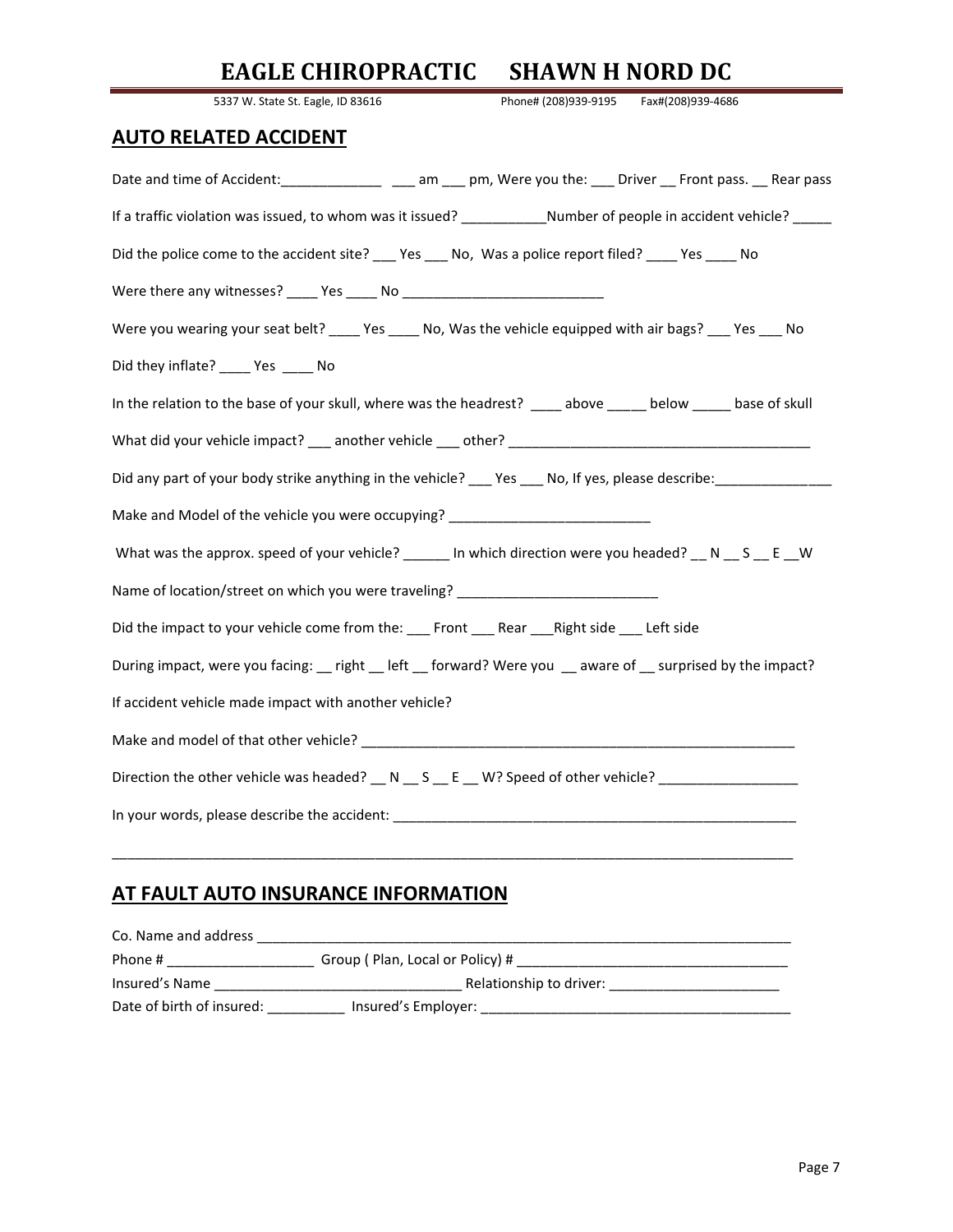# **EAGLE CHIROPRACTIC SHAWN H NORD DC**

| 5337 W. State St. Eagle, ID 83616<br>Phone# (208)939-9195<br>Fax#(208)939-4686                                          |
|-------------------------------------------------------------------------------------------------------------------------|
| <b>AUTO RELATED ACCIDENT</b>                                                                                            |
| Date and time of Accident: _________________ ___ am ___ pm, Were you the: ___ Driver __ Front pass. __ Rear pass        |
| If a traffic violation was issued, to whom was it issued? __________________Number of people in accident vehicle? _____ |
| Did the police come to the accident site? ____ Yes ____ No, Was a police report filed? _____ Yes _____ No               |
|                                                                                                                         |
| Were you wearing your seat belt? _____ Yes _____ No, Was the vehicle equipped with air bags? ____ Yes ____ No           |
| Did they inflate? _____ Yes _____ No                                                                                    |
| In the relation to the base of your skull, where was the headrest? _____above _______ below ______ base of skull        |
|                                                                                                                         |
| Did any part of your body strike anything in the vehicle? 188 100 No, If yes, please describe:                          |
| Make and Model of the vehicle you were occupying? ______________________________                                        |
| What was the approx. speed of your vehicle? ______ In which direction were you headed? __ N __ S __ E __ W              |
| Name of location/street on which you were traveling? ___________________________                                        |
| Did the impact to your vehicle come from the: ____Front _____Rear _____Right side _____ Left side                       |
| During impact, were you facing: __ right __ left __ forward? Were you __ aware of __ surprised by the impact?           |
| If accident vehicle made impact with another vehicle?                                                                   |
|                                                                                                                         |
| Direction the other vehicle was headed? __ N __ S __ E __ W? Speed of other vehicle? _______________                    |
|                                                                                                                         |
|                                                                                                                         |

### **AT FAULT AUTO INSURANCE INFORMATION**

| Group (Plan, Local or Policy) # |
|---------------------------------|
| Relationship to driver:         |
| Insured's Employer:             |
|                                 |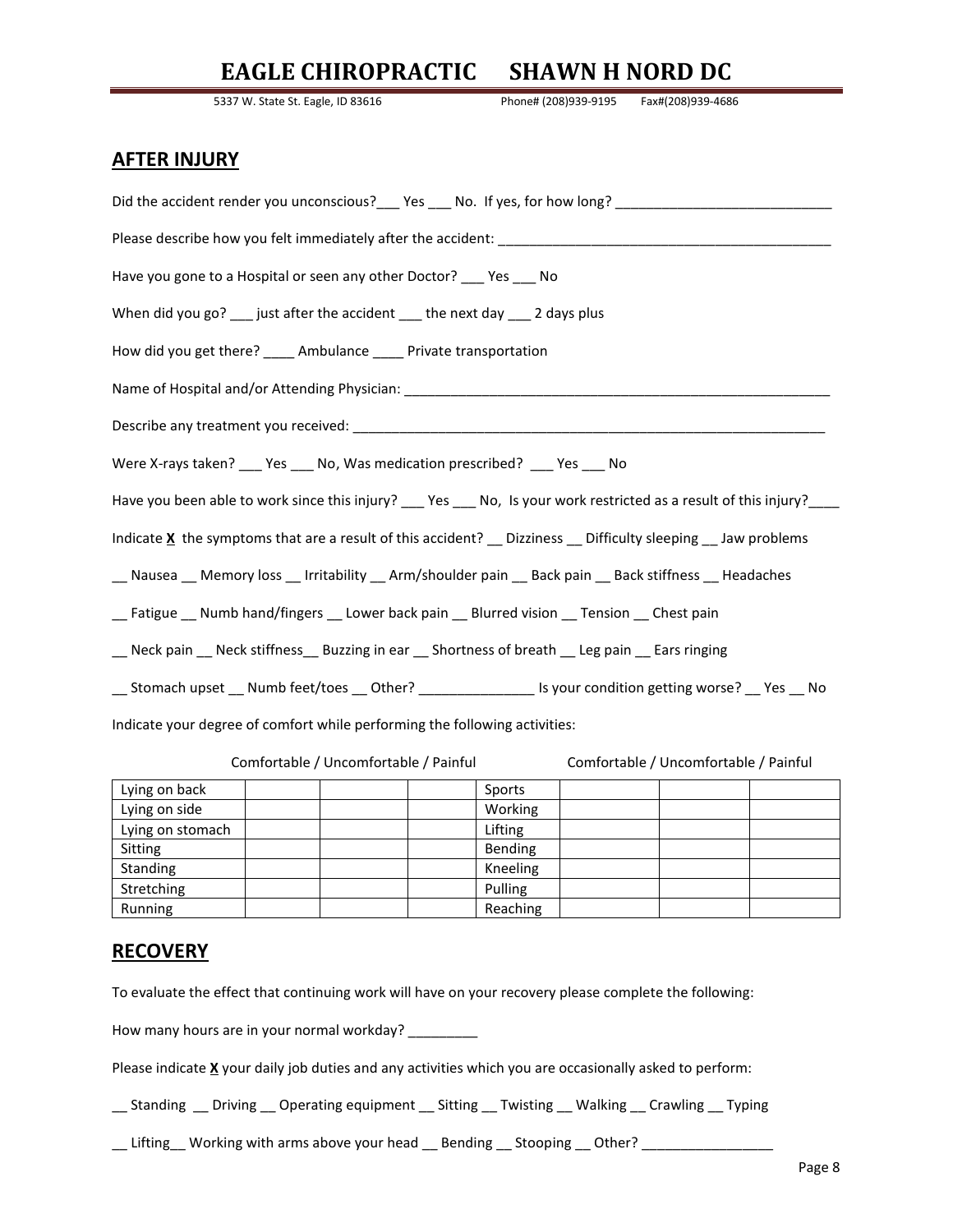## **EAGLE CHIROPRACTIC SHAWN H NORD DC**

5337 W. State St. Eagle, ID 83616 Phone# (208)939-9195 Fax#(208)939-4686

#### **AFTER INJURY**

| Did the accident render you unconscious?___ Yes ___ No. If yes, for how long? ________________________________    |
|-------------------------------------------------------------------------------------------------------------------|
|                                                                                                                   |
| Have you gone to a Hospital or seen any other Doctor? ___ Yes ___ No                                              |
| When did you go? ___ just after the accident ___ the next day ___ 2 days plus                                     |
| How did you get there? _____ Ambulance _____ Private transportation                                               |
|                                                                                                                   |
|                                                                                                                   |
| Were X-rays taken? ___ Yes ___ No, Was medication prescribed? ___ Yes ___ No                                      |
| Have you been able to work since this injury? ___ Yes ___ No, Is your work restricted as a result of this injury? |
| Indicate X the symptoms that are a result of this accident? _ Dizziness _ Difficulty sleeping _ Jaw problems      |
| __ Nausea __ Memory loss __ Irritability __ Arm/shoulder pain __ Back pain __ Back stiffness __ Headaches         |
| __ Fatigue __ Numb hand/fingers __ Lower back pain __ Blurred vision __ Tension __ Chest pain                     |
| __ Neck pain __ Neck stiffness__ Buzzing in ear __ Shortness of breath __ Leg pain __ Ears ringing                |
| __ Stomach upset __ Numb feet/toes __ Other? ________________ Is your condition getting worse? __ Yes __ No       |
| Indicate your degree of comfort while performing the following activities:                                        |

Comfortable / Uncomfortable / Painful Comfortable / Uncomfortable / Painful

| Lying on back    | Sports   |
|------------------|----------|
| Lying on side    | Working  |
| Lying on stomach | Lifting  |
| Sitting          | Bending  |
| Standing         | Kneeling |
| Stretching       | Pulling  |
| Running          | Reaching |

#### **RECOVERY**

To evaluate the effect that continuing work will have on your recovery please complete the following:

How many hours are in your normal workday? \_\_\_\_\_\_\_\_\_

Please indicate **X** your daily job duties and any activities which you are occasionally asked to perform:

\_\_ Standing \_\_ Driving \_\_ Operating equipment \_\_ Sitting \_\_ Twisting \_\_ Walking \_\_ Crawling \_\_ Typing

\_\_ Lifting\_\_ Working with arms above your head \_\_ Bending \_\_ Stooping \_\_ Other? \_\_\_\_\_\_\_\_\_\_\_\_\_\_\_\_\_